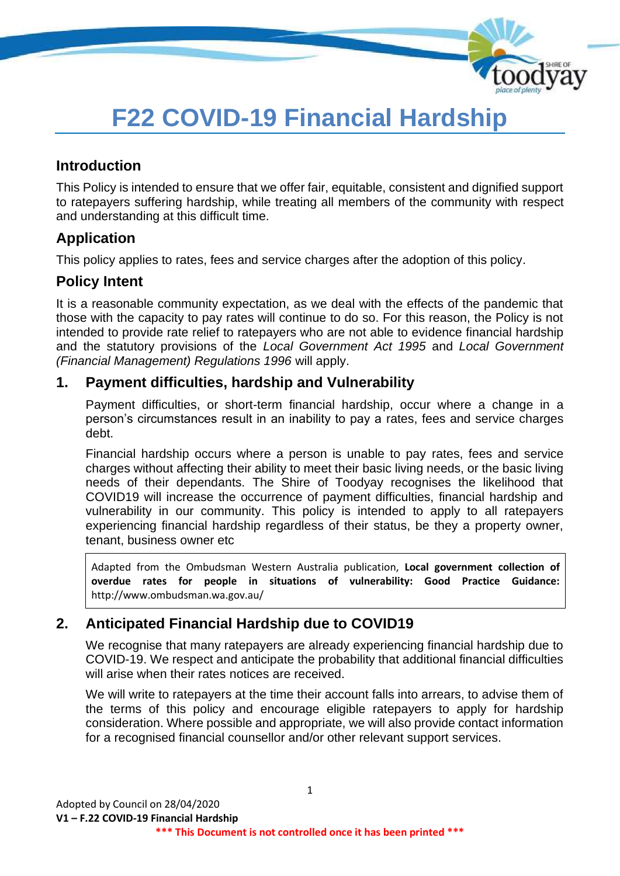

# **F22 COVID-19 Financial Hardship**

# **Introduction**

This Policy is intended to ensure that we offer fair, equitable, consistent and dignified support to ratepayers suffering hardship, while treating all members of the community with respect and understanding at this difficult time.

# **Application**

This policy applies to rates, fees and service charges after the adoption of this policy.

# **Policy Intent**

It is a reasonable community expectation, as we deal with the effects of the pandemic that those with the capacity to pay rates will continue to do so. For this reason, the Policy is not intended to provide rate relief to ratepayers who are not able to evidence financial hardship and the statutory provisions of the *Local Government Act 1995* and *Local Government (Financial Management) Regulations 1996* will apply.

## **1. Payment difficulties, hardship and Vulnerability**

Payment difficulties, or short-term financial hardship, occur where a change in a person's circumstances result in an inability to pay a rates, fees and service charges debt.

Financial hardship occurs where a person is unable to pay rates, fees and service charges without affecting their ability to meet their basic living needs, or the basic living needs of their dependants. The Shire of Toodyay recognises the likelihood that COVID19 will increase the occurrence of payment difficulties, financial hardship and vulnerability in our community. This policy is intended to apply to all ratepayers experiencing financial hardship regardless of their status, be they a property owner, tenant, business owner etc

Adapted from the Ombudsman Western Australia publication, **Local government collection of overdue rates for people in situations of vulnerability: Good Practice Guidance:**  http://www.ombudsman.wa.gov.au/

# **2. Anticipated Financial Hardship due to COVID19**

We recognise that many ratepayers are already experiencing financial hardship due to COVID-19. We respect and anticipate the probability that additional financial difficulties will arise when their rates notices are received.

We will write to ratepayers at the time their account falls into arrears, to advise them of the terms of this policy and encourage eligible ratepayers to apply for hardship consideration. Where possible and appropriate, we will also provide contact information for a recognised financial counsellor and/or other relevant support services.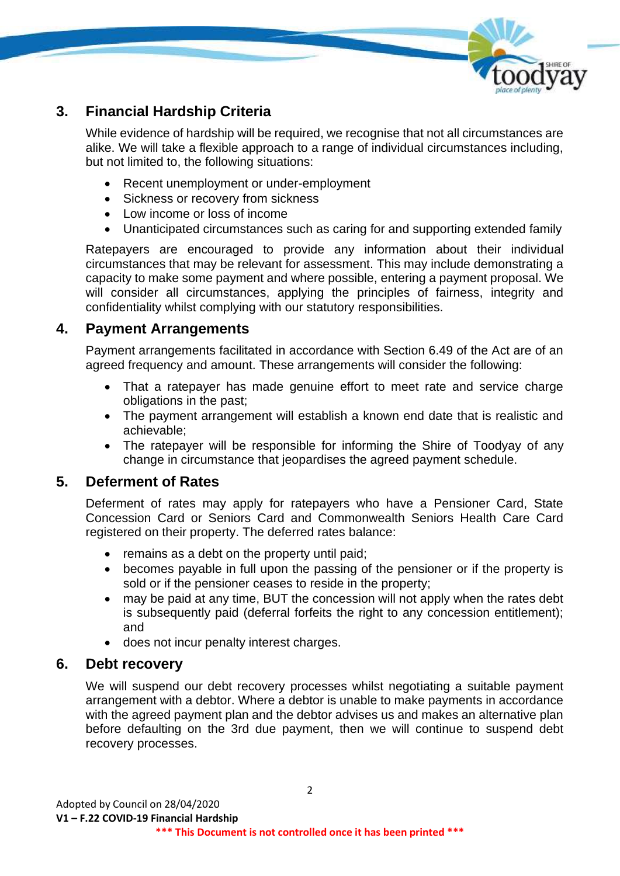

# **3. Financial Hardship Criteria**

While evidence of hardship will be required, we recognise that not all circumstances are alike. We will take a flexible approach to a range of individual circumstances including, but not limited to, the following situations:

- Recent unemployment or under-employment
- Sickness or recovery from sickness
- Low income or loss of income
- Unanticipated circumstances such as caring for and supporting extended family

Ratepayers are encouraged to provide any information about their individual circumstances that may be relevant for assessment. This may include demonstrating a capacity to make some payment and where possible, entering a payment proposal. We will consider all circumstances, applying the principles of fairness, integrity and confidentiality whilst complying with our statutory responsibilities.

### **4. Payment Arrangements**

Payment arrangements facilitated in accordance with Section 6.49 of the Act are of an agreed frequency and amount. These arrangements will consider the following:

- That a ratepayer has made genuine effort to meet rate and service charge obligations in the past;
- The payment arrangement will establish a known end date that is realistic and achievable;
- The ratepayer will be responsible for informing the Shire of Toodyay of any change in circumstance that jeopardises the agreed payment schedule.

### **5. Deferment of Rates**

Deferment of rates may apply for ratepayers who have a Pensioner Card, State Concession Card or Seniors Card and Commonwealth Seniors Health Care Card registered on their property. The deferred rates balance:

- remains as a debt on the property until paid:
- becomes payable in full upon the passing of the pensioner or if the property is sold or if the pensioner ceases to reside in the property;
- may be paid at any time, BUT the concession will not apply when the rates debt is subsequently paid (deferral forfeits the right to any concession entitlement); and
- does not incur penalty interest charges.

### **6. Debt recovery**

We will suspend our debt recovery processes whilst negotiating a suitable payment arrangement with a debtor. Where a debtor is unable to make payments in accordance with the agreed payment plan and the debtor advises us and makes an alternative plan before defaulting on the 3rd due payment, then we will continue to suspend debt recovery processes.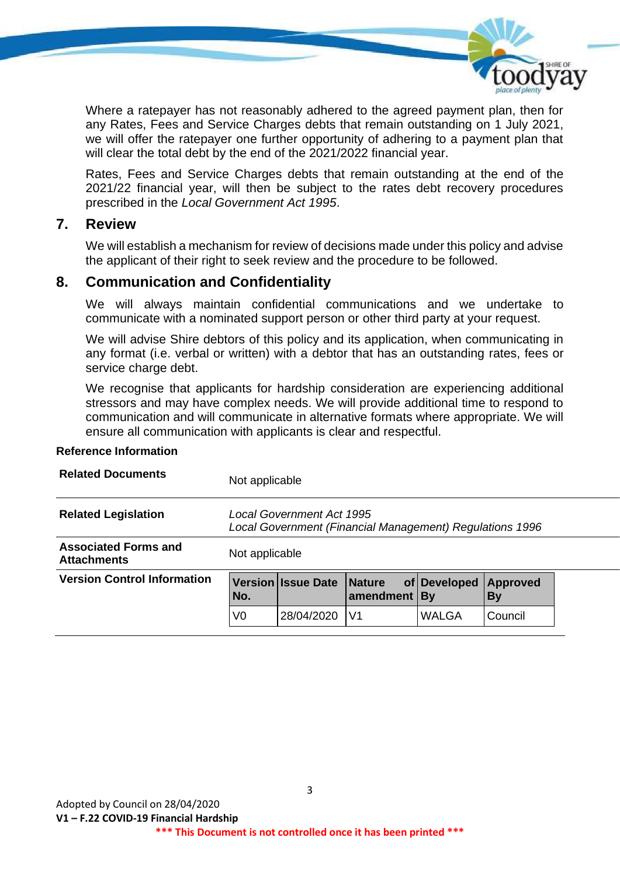

Where a ratepayer has not reasonably adhered to the agreed payment plan, then for any Rates, Fees and Service Charges debts that remain outstanding on 1 July 2021, we will offer the ratepayer one further opportunity of adhering to a payment plan that will clear the total debt by the end of the 2021/2022 financial year.

Rates, Fees and Service Charges debts that remain outstanding at the end of the 2021/22 financial year, will then be subject to the rates debt recovery procedures prescribed in the *Local Government Act 1995*.

#### **7. Review**

We will establish a mechanism for review of decisions made under this policy and advise the applicant of their right to seek review and the procedure to be followed.

### **8. Communication and Confidentiality**

We will always maintain confidential communications and we undertake to communicate with a nominated support person or other third party at your request.

We will advise Shire debtors of this policy and its application, when communicating in any format (i.e. verbal or written) with a debtor that has an outstanding rates, fees or service charge debt.

We recognise that applicants for hardship consideration are experiencing additional stressors and may have complex needs. We will provide additional time to respond to communication and will communicate in alternative formats where appropriate. We will ensure all communication with applicants is clear and respectful.

#### **Reference Information**

| <b>Related Documents</b>                          | Not applicable                                                                        |                           |                |              |                              |  |
|---------------------------------------------------|---------------------------------------------------------------------------------------|---------------------------|----------------|--------------|------------------------------|--|
| <b>Related Legislation</b>                        | Local Government Act 1995<br>Local Government (Financial Management) Regulations 1996 |                           |                |              |                              |  |
| <b>Associated Forms and</b><br><b>Attachments</b> | Not applicable                                                                        |                           |                |              |                              |  |
| <b>Version Control Information</b>                | No.                                                                                   | Version Issue Date Nature | amendment   By | of Developed | <b>Approved</b><br><b>By</b> |  |
|                                                   | V0                                                                                    | 28/04/2020                | V <sub>1</sub> | WALGA        | Council                      |  |